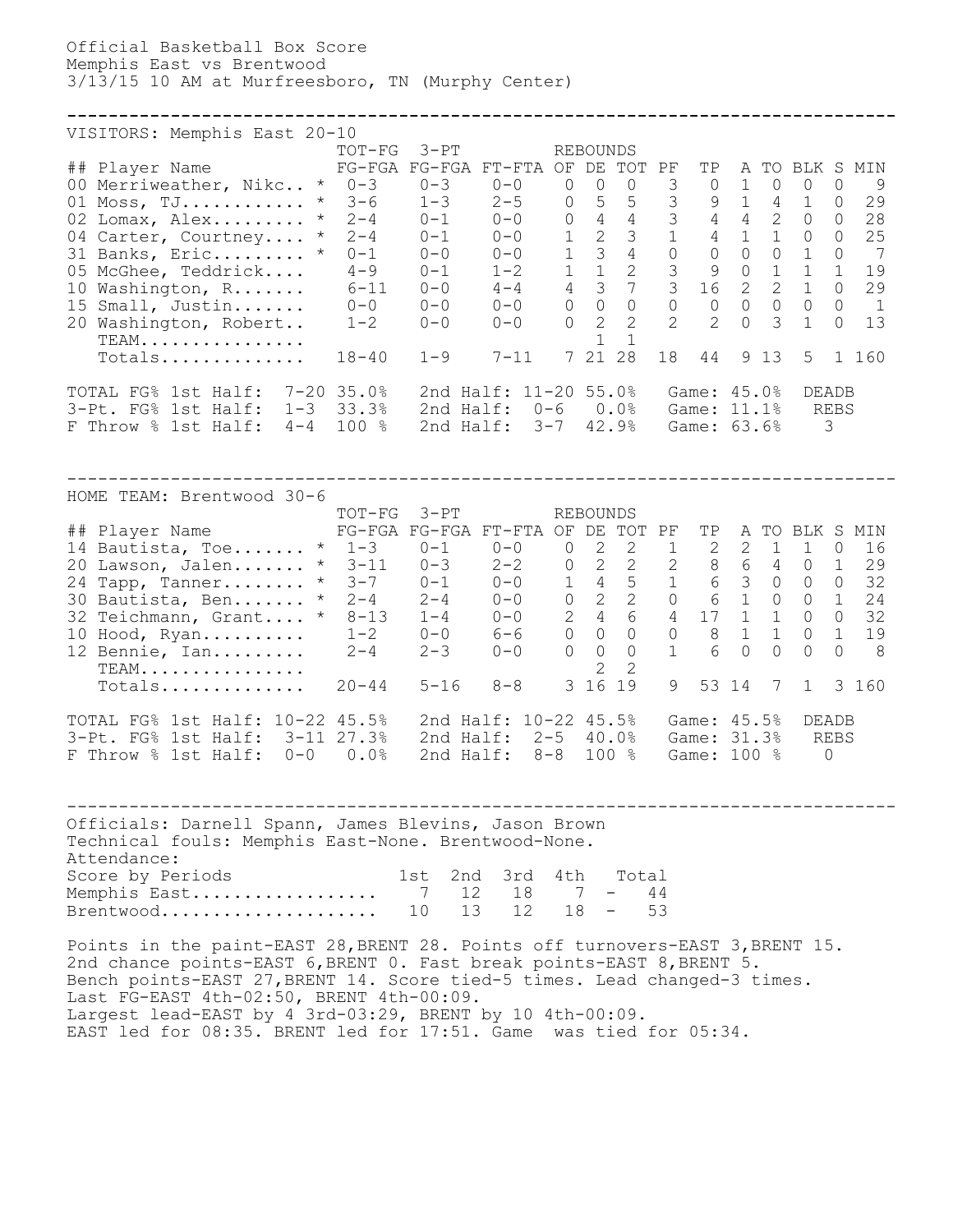Official Basketball Box Score Memphis East vs Brentwood 3/13/15 10 AM at Murfreesboro, TN (Murphy Center)

## VISITORS: Memphis East 20-10 TOT-FG 3-PT REBOUNDS ## Player Name FG-FGA FG-FGA FT-FTA OF DE TOT PF TP A TO BLK S MIN 00 Merriweather, Nikc.. \* 0-3 0-3 0-0 0 0 0 3 0 1 0 0 0 9 01 Moss, TJ............ \* 3-6 1-3 2-5 0 5 5 3 9 1 4 1 0 29 02 Lomax, Alex......... \* 2-4 0-1 0-0 0 4 4 3 4 4 2 0 0 28 04 Carter, Courtney.... \* 2-4 0-1 0-0 1 2 3 1 4 1 1 0 0 25 31 Banks, Eric......... \* 0-1 0-0 0-0 1 3 4 0 0 0 0 1 0 7 05 McGhee, Teddrick.... 4-9 0-1 1-2 1 1 2 3 9 0 1 1 1 19 10 Washington, R....... 6-11 0-0 4-4 4 3 7 3 16 2 2 1 0 29 15 Small, Justin....... 0-0 0-0 0-0 0 0 0 0 0 0 0 0 0 1 20 Washington, Robert.. 1-2 0-0 0-0 0 2 2 2 2 0 3 1 0 13  $\text{TEM.} \dots \dots \dots \dots$ TEAM.................<br>Totals.............. 18-40 1-9 7-11 7 21 28 18 44 9 13 5 1 160 TOTAL FG% 1st Half: 7-20 35.0% 2nd Half: 11-20 55.0% Game: 45.0% DEADB 3-Pt. FG% 1st Half: 1-3 33.3% 2nd Half: 0-6 0.0% Game: 11.1% REBS F Throw % 1st Half: 4-4 100 % 2nd Half: 3-7 42.9% Game: 63.6% 3

**--------------------------------------------------------------------------------**

-------------------------------------------------------------------------------- HOME TEAM: Brentwood 30-6 TOT-FG 3-PT REBOUNDS ## Player Name FG-FGA FG-FGA FT-FTA OF DE TOT PF TP A TO BLK S MIN  $\overline{14}$  Bautista, Toe....... \* 1-3 0-1 0-0 0 2 2 1 2 2 1 1 0 16 20 Lawson, Jalen....... \* 3-11 0-3 2-2 0 2 2 2 8 6 4 0 1 29 24 Tapp, Tanner........ \* 3-7 0-1 0-0 1 4 5 1 6 3 0 0 0 32 30 Bautista, Ben....... \* 2-4 2-4 0-0 0 2 2 0 6 1 0 0 1 24 32 Teichmann, Grant.... \* 8-13 1-4 0-0 2 4 6 4 17 1 1 0 0 32 10 Hood, Ryan.......... 1-2 0-0 6-6 0 0 0 0 8 1 1 0 1 19 12 Bennie, Ian......... 2-4 2-3 0-0 0 0 0 1 6 0 0 0 0 8 TEAM................ 2 2 TEAM.................<br>Totals.............. 20-44 5-16 8-8 3 16 19 9 53 14 7 1 3 160 TOTAL FG% 1st Half: 10-22 45.5% 2nd Half: 10-22 45.5% Game: 45.5% DEADB 3-Pt. FG% 1st Half: 3-11 27.3% 2nd Half: 2-5 40.0% Game: 31.3% REBS F Throw % 1st Half: 0-0 0.0% 2nd Half: 8-8 100 % Game: 100 % 0

-------------------------------------------------------------------------------- Officials: Darnell Spann, James Blevins, Jason Brown Technical fouls: Memphis East-None. Brentwood-None. Attendance: score by Periods 1st 2nd 3rd 4th Total Memphis East.................. 7 12 18 7 - 44 Brentwood..................... 10 13 12 18 - 53

Points in the paint-EAST 28,BRENT 28. Points off turnovers-EAST 3,BRENT 15. 2nd chance points-EAST 6,BRENT 0. Fast break points-EAST 8,BRENT 5. Bench points-EAST 27,BRENT 14. Score tied-5 times. Lead changed-3 times. Last FG-EAST 4th-02:50, BRENT 4th-00:09. Largest lead-EAST by 4 3rd-03:29, BRENT by 10 4th-00:09. EAST led for 08:35. BRENT led for 17:51. Game was tied for 05:34.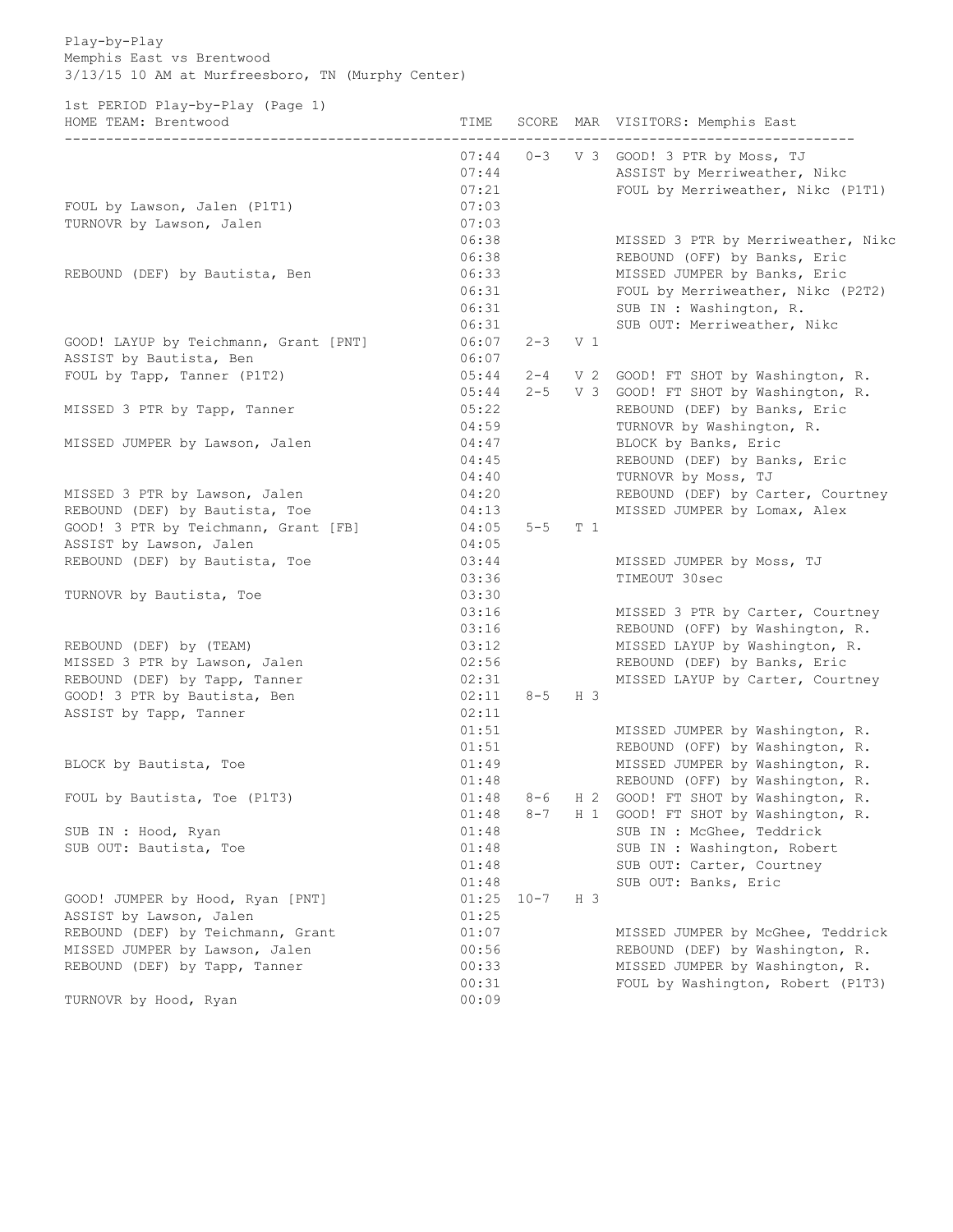Play-by-Play Memphis East vs Brentwood 3/13/15 10 AM at Murfreesboro, TN (Murphy Center)

1st PERIOD Play-by-Play (Page 1) HOME TEAM: Brentwood TIME SCORE MAR VISITORS: Memphis East ------------------------------------------------------------------------------------------------ 07:44 0-3 V 3 GOOD! 3 PTR by Moss, TJ 07:44 ASSIST by Merriweather, Nikc 07:21 FOUL by Merriweather, Nikc (P1T1) FOUL by Lawson, Jalen (P1T1) 07:03 TURNOVR by Lawson, Jalen 07:03 06:38 MISSED 3 PTR by Merriweather, Nikc 06:38 REBOUND (OFF) by Banks, Eric REBOUND (DEF) by Bautista, Ben 06:33 MISSED JUMPER by Banks, Eric 06:31 FOUL by Merriweather, Nikc (P2T2) 06:31 SUB IN : Washington, R.<br>06:31 SUB OUT: Merriweather SUB OUT: Merriweather, Nikc GOOD! LAYUP by Teichmann, Grant [PNT] 06:07 2-3 V 1 ASSIST by Bautista, Ben 06:07 FOUL by Tapp, Tanner (P1T2) 05:44 2-4 V 2 GOOD! FT SHOT by Washington, R. 05:44 2-5 V 3 GOOD! FT SHOT by Washington, R. MISSED 3 PTR by Tapp, Tanner 205:22 REBOUND (DEF) by Banks, Eric 04:59 TURNOVR by Washington, R. MISSED JUMPER by Lawson, Jalen 04:47 BLOCK by Banks, Eric 04:45 REBOUND (DEF) by Banks, Eric 04:40 TURNOVR by Moss, TJ MISSED 3 PTR by Lawson, Jalen 04:20 REBOUND (DEF) by Carter, Courtney REBOUND (DEF) by Bautista, Toe 6 04:13 MISSED JUMPER by Lomax, Alex REBOUND (DEF) by Bautista, Toe  $04:13$ <br>GOOD! 3 PTR by Teichmann, Grant [FB] 04:05 5-5 T 1 ASSIST by Lawson, Jalen 04:05 REBOUND (DEF) by Bautista, Toe  $03:44$  MISSED JUMPER by Moss, TJ 03:36 TIMEOUT 30sec TURNOVR by Bautista, Toe 03:30 03:16 MISSED 3 PTR by Carter, Courtney 03:16 REBOUND (OFF) by Washington, R. REBOUND (DEF) by (TEAM) 03:12 MISSED LAYUP by Washington, R. MISSED 3 PTR by Lawson, Jalen 02:56 REBOUND (DEF) by Banks, Eric REBOUND (DEF) by Tapp, Tanner 1988 1999 12:31 MISSED LAYUP by Carter, Courtney GOOD! 3 PTR by Bautista, Ben  $02:11 \quad 8-5 \quad H \quad 3$ ASSIST by Tapp, Tanner 02:11 01:51 MISSED JUMPER by Washington, R. 01:51 REBOUND (OFF) by Washington, R. BLOCK by Bautista, Toe 01:49 MISSED JUMPER by Washington, R. 01:48 REBOUND (OFF) by Washington, R. FOUL by Bautista, Toe (P1T3)  $01:48$  8-6 H 2 GOOD! FT SHOT by Washington, R. 01:48 8-7 H 1 GOOD! FT SHOT by Washington, R. SUB IN : Hood, Ryan 01:48 SUB IN : McGhee, Teddrick SUB OUT: Bautista, Toe  $01:48$  SUB IN : Washington, Robert 01:48 SUB OUT: Carter, Courtney<br>01:48 SUB OUT: Banks, Eric<br>01.05 Second SUB OUT: Banks, Eric GOOD! JUMPER by Hood, Ryan [PNT] 01:25 10-7 H 3 ASSIST by Lawson, Jalen 01:25 REBOUND (DEF) by Teichmann, Grant 01:07 MISSED JUMPER by McGhee, Teddrick MISSED JUMPER by Lawson, Jalen 00:56 REBOUND (DEF) by Washington, R. REBOUND (DEF) by Tapp, Tanner 1988 100:33 MISSED JUMPER by Washington, R. 00:31 FOUL by Washington, Robert (P1T3)

TURNOVR by Hood, Ryan 00:09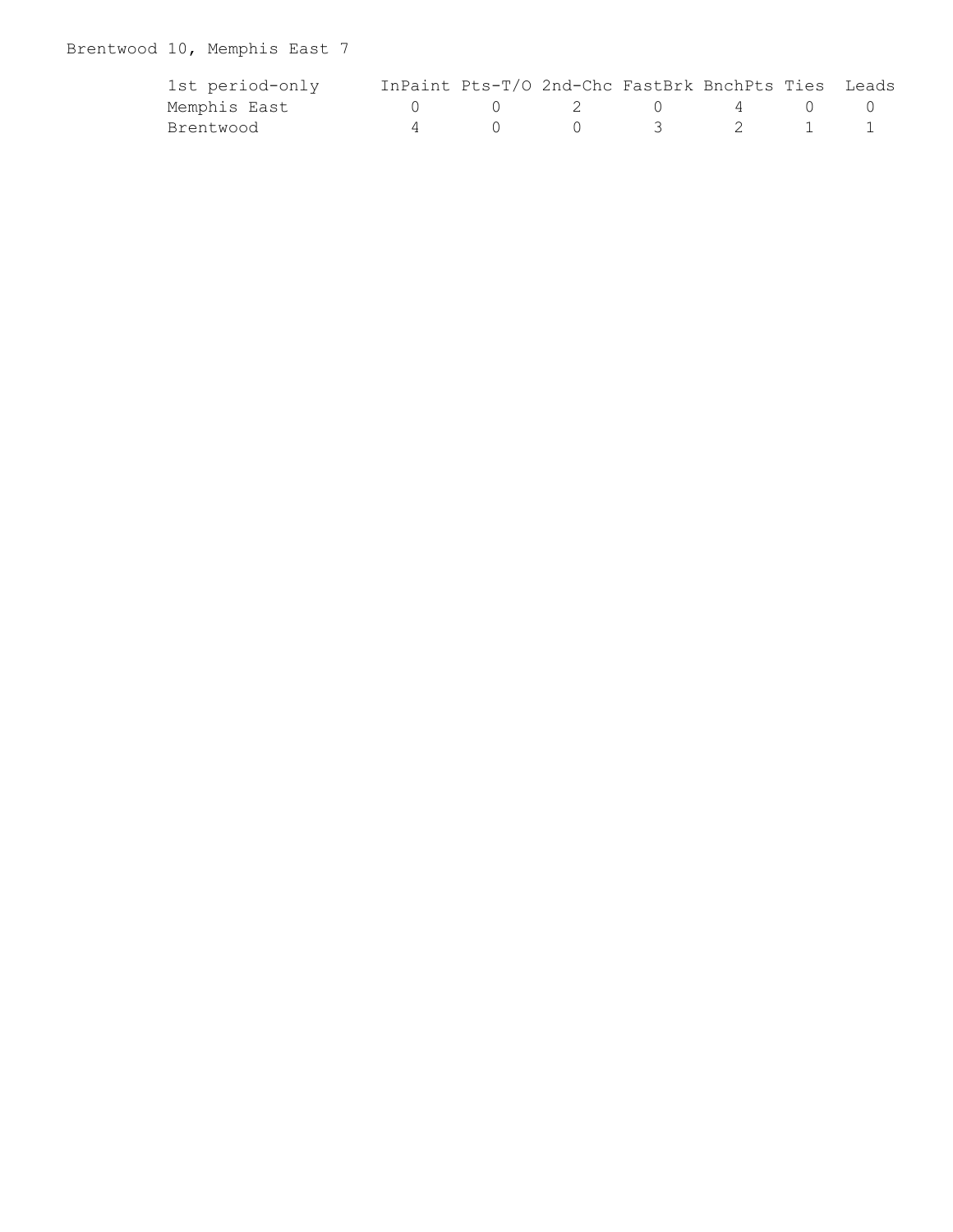# Brentwood 10, Memphis East 7

| 1st period-only |  | InPaint Pts-T/O 2nd-Chc FastBrk BnchPts Ties Leads                 |  |  |
|-----------------|--|--------------------------------------------------------------------|--|--|
| Memphis East    |  | $\begin{array}{ccccccccccccccccc}\n0 & 2 & 0 & 4 & 0\n\end{array}$ |  |  |
| Brentwood       |  | $0 \qquad 0 \qquad 3 \qquad 2$                                     |  |  |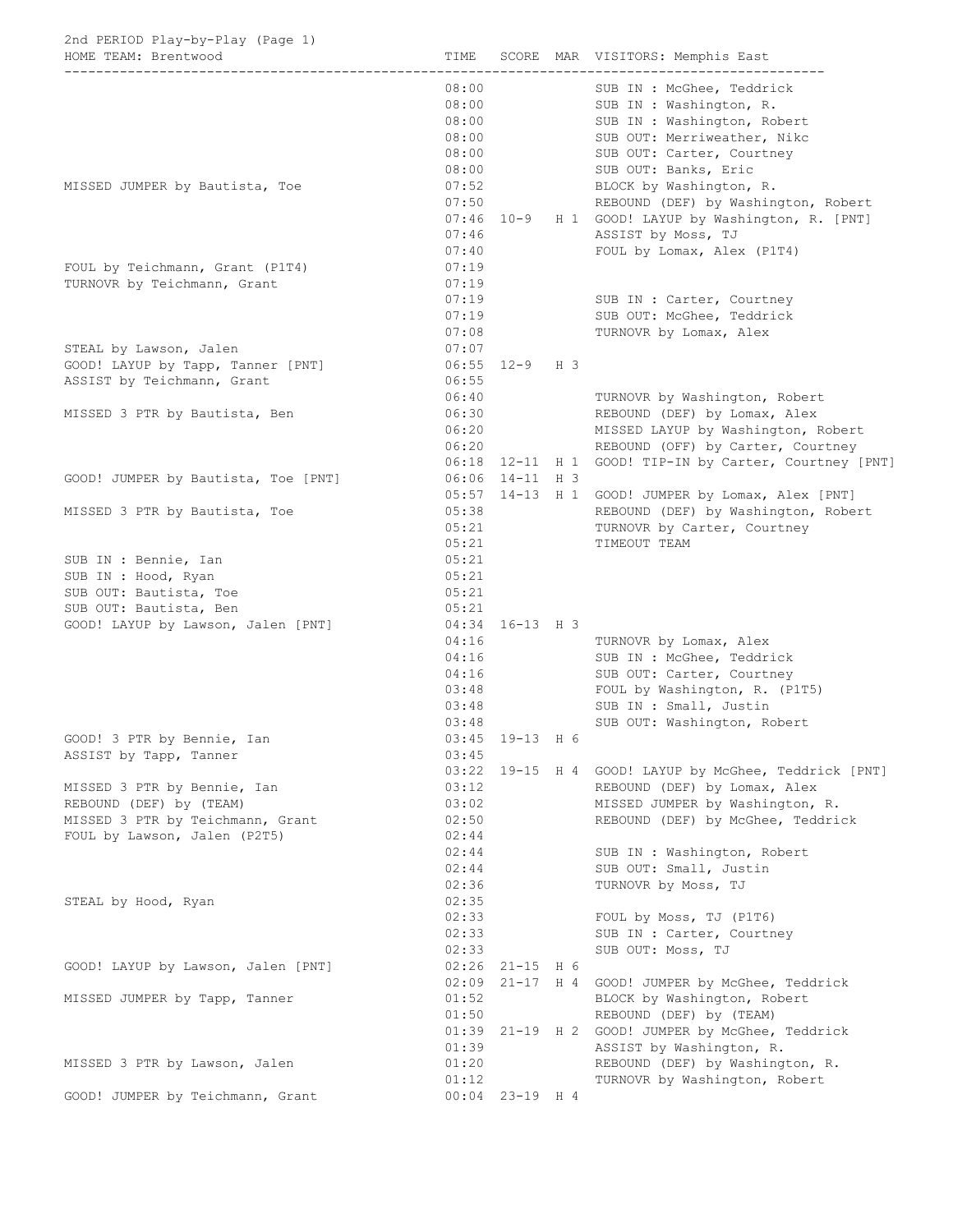| 2nd PERIOD Play-by-Play (Page 1)                                                                |                                                    |                                          |                                                                                                                                                                         |
|-------------------------------------------------------------------------------------------------|----------------------------------------------------|------------------------------------------|-------------------------------------------------------------------------------------------------------------------------------------------------------------------------|
| HOME TEAM: Brentwood                                                                            | TIME                                               |                                          | SCORE MAR VISITORS: Memphis East                                                                                                                                        |
|                                                                                                 | 08:00<br>08:00<br>08:00<br>08:00<br>08:00<br>08:00 |                                          | SUB IN : McGhee, Teddrick<br>SUB IN : Washington, R.<br>SUB IN : Washington, Robert<br>SUB OUT: Merriweather, Nikc<br>SUB OUT: Carter, Courtney<br>SUB OUT: Banks, Eric |
| MISSED JUMPER by Bautista, Toe                                                                  | 07:52<br>07:50                                     |                                          | BLOCK by Washington, R.<br>REBOUND (DEF) by Washington, Robert                                                                                                          |
|                                                                                                 | 07:46<br>07:40                                     |                                          | 07:46 10-9 H 1 GOOD! LAYUP by Washington, R. [PNT]<br>ASSIST by Moss, TJ<br>FOUL by Lomax, Alex (P1T4)                                                                  |
| FOUL by Teichmann, Grant (P1T4)                                                                 | 07:19                                              |                                          |                                                                                                                                                                         |
| TURNOVR by Teichmann, Grant                                                                     | 07:19<br>07:19<br>07:19<br>07:08                   |                                          | SUB IN : Carter, Courtney<br>SUB OUT: McGhee, Teddrick<br>TURNOVR by Lomax, Alex                                                                                        |
| STEAL by Lawson, Jalen                                                                          | 07:07                                              |                                          |                                                                                                                                                                         |
| GOOD! LAYUP by Tapp, Tanner [PNT]<br>ASSIST by Teichmann, Grant                                 | 06:55                                              | 06:55 12-9 H 3                           |                                                                                                                                                                         |
| MISSED 3 PTR by Bautista, Ben                                                                   | 06:40<br>06:30<br>06:20                            |                                          | TURNOVR by Washington, Robert<br>REBOUND (DEF) by Lomax, Alex<br>MISSED LAYUP by Washington, Robert                                                                     |
|                                                                                                 | 06:20                                              | $06:18$ 12-11 H 1                        | REBOUND (OFF) by Carter, Courtney<br>GOOD! TIP-IN by Carter, Courtney [PNT]                                                                                             |
| GOOD! JUMPER by Bautista, Toe [PNT]                                                             |                                                    | 06:06 14-11 H 3                          |                                                                                                                                                                         |
|                                                                                                 |                                                    |                                          | 05:57 14-13 H 1 GOOD! JUMPER by Lomax, Alex [PNT]                                                                                                                       |
| MISSED 3 PTR by Bautista, Toe                                                                   | 05:38<br>05:21<br>05:21                            |                                          | REBOUND (DEF) by Washington, Robert<br>TURNOVR by Carter, Courtney<br>TIMEOUT TEAM                                                                                      |
| SUB IN : Bennie, Ian<br>SUB IN : Hood, Ryan<br>SUB OUT: Bautista, Toe<br>SUB OUT: Bautista, Ben | 05:21<br>05:21<br>05:21<br>05:21                   |                                          |                                                                                                                                                                         |
| GOOD! LAYUP by Lawson, Jalen [PNT]                                                              | 04:16                                              | 04:34 16-13 H 3                          | TURNOVR by Lomax, Alex                                                                                                                                                  |
|                                                                                                 | 04:16                                              |                                          | SUB IN : McGhee, Teddrick                                                                                                                                               |
|                                                                                                 | 04:16<br>03:48                                     |                                          | SUB OUT: Carter, Courtney<br>FOUL by Washington, R. (P1T5)                                                                                                              |
|                                                                                                 | 03:48                                              |                                          | SUB IN : Small, Justin                                                                                                                                                  |
|                                                                                                 | 03:48                                              |                                          | SUB OUT: Washington, Robert                                                                                                                                             |
| GOOD! 3 PTR by Bennie, Ian<br>ASSIST by Tapp, Tanner                                            | 03:45                                              | 03:45 19-13 H 6                          |                                                                                                                                                                         |
|                                                                                                 |                                                    |                                          | 03:22 19-15 H 4 GOOD! LAYUP by McGhee, Teddrick [PNT]                                                                                                                   |
| MISSED 3 PTR by Bennie, Ian<br>REBOUND (DEF) by (TEAM)                                          | 03:12<br>03:02                                     |                                          | REBOUND (DEF) by Lomax, Alex<br>MISSED JUMPER by Washington, R.                                                                                                         |
| MISSED 3 PTR by Teichmann, Grant                                                                | 02:50                                              |                                          | REBOUND (DEF) by McGhee, Teddrick                                                                                                                                       |
| FOUL by Lawson, Jalen (P2T5)                                                                    | 02:44                                              |                                          |                                                                                                                                                                         |
|                                                                                                 | 02:44<br>02:44                                     |                                          | SUB IN : Washington, Robert<br>SUB OUT: Small, Justin                                                                                                                   |
|                                                                                                 | 02:36                                              |                                          | TURNOVR by Moss, TJ                                                                                                                                                     |
| STEAL by Hood, Ryan                                                                             | 02:35                                              |                                          |                                                                                                                                                                         |
|                                                                                                 | 02:33                                              |                                          | FOUL by Moss, TJ (P1T6)                                                                                                                                                 |
|                                                                                                 | 02:33<br>02:33                                     |                                          | SUB IN : Carter, Courtney<br>SUB OUT: Moss, TJ                                                                                                                          |
| GOOD! LAYUP by Lawson, Jalen [PNT]                                                              |                                                    | $02:26$ 21-15 H 6<br>$02:09$ $21-17$ H 4 | GOOD! JUMPER by McGhee, Teddrick                                                                                                                                        |
| MISSED JUMPER by Tapp, Tanner                                                                   | 01:52<br>01:50                                     |                                          | BLOCK by Washington, Robert<br>REBOUND (DEF) by (TEAM)                                                                                                                  |
|                                                                                                 |                                                    | $01:39$ 21-19 H 2                        | GOOD! JUMPER by McGhee, Teddrick                                                                                                                                        |
| MISSED 3 PTR by Lawson, Jalen                                                                   | 01:39<br>01:20<br>01:12                            |                                          | ASSIST by Washington, R.<br>REBOUND (DEF) by Washington, R.<br>TURNOVR by Washington, Robert                                                                            |
| GOOD! JUMPER by Teichmann, Grant                                                                |                                                    | $00:04$ 23-19 H 4                        |                                                                                                                                                                         |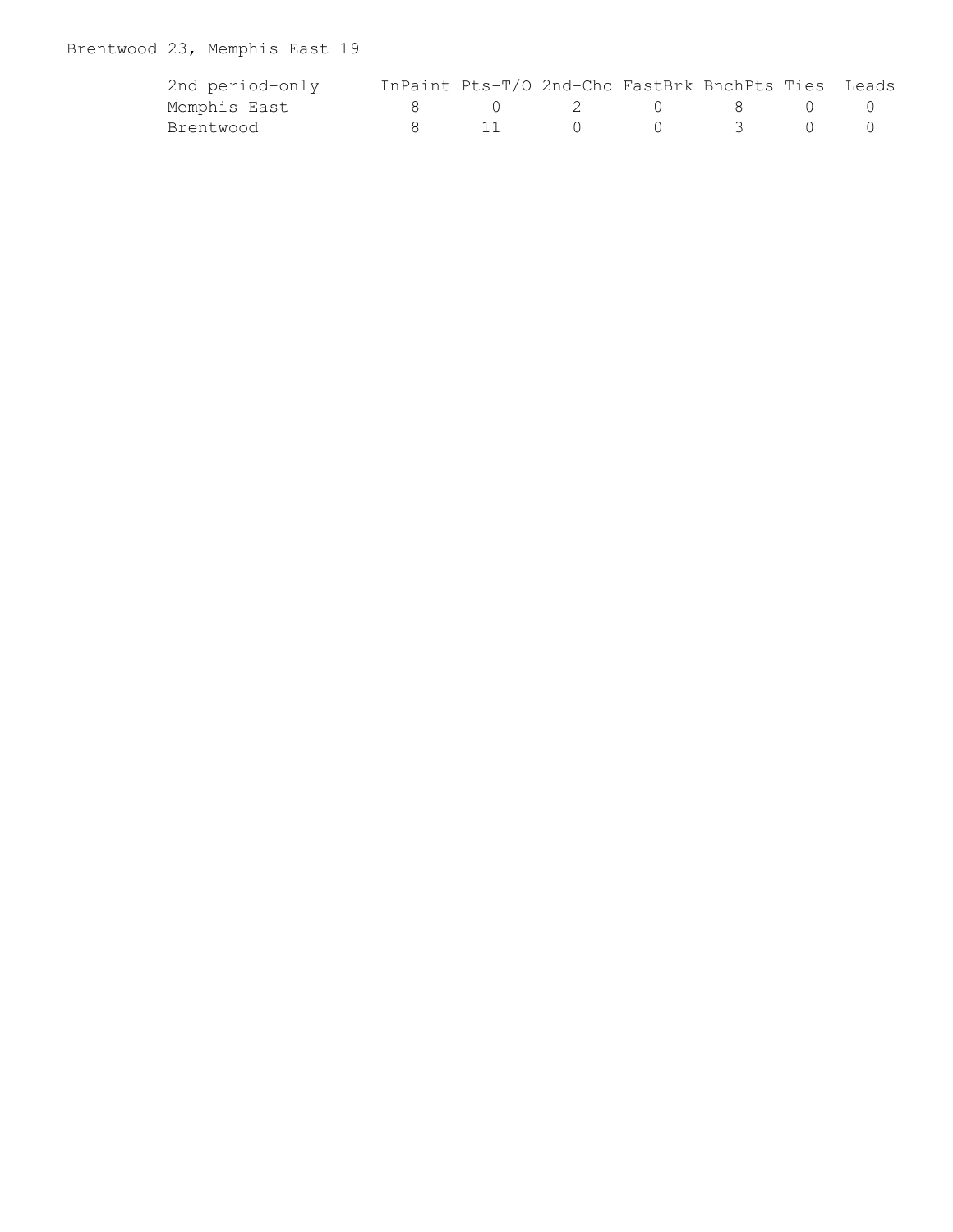# Brentwood 23, Memphis East 19

| 2nd period-only |        | InPaint Pts-T/O 2nd-Chc FastBrk BnchPts Ties Leads |                                                                        |              |  |
|-----------------|--------|----------------------------------------------------|------------------------------------------------------------------------|--------------|--|
| Memphis East    |        | $\begin{array}{ccc} 0 & 2 & 0 \end{array}$         |                                                                        | $\mathbf{R}$ |  |
| Brentwood       | - 11 - |                                                    | $\begin{array}{ccc} \hline \text{1} & \text{3} & \text{3} \end{array}$ |              |  |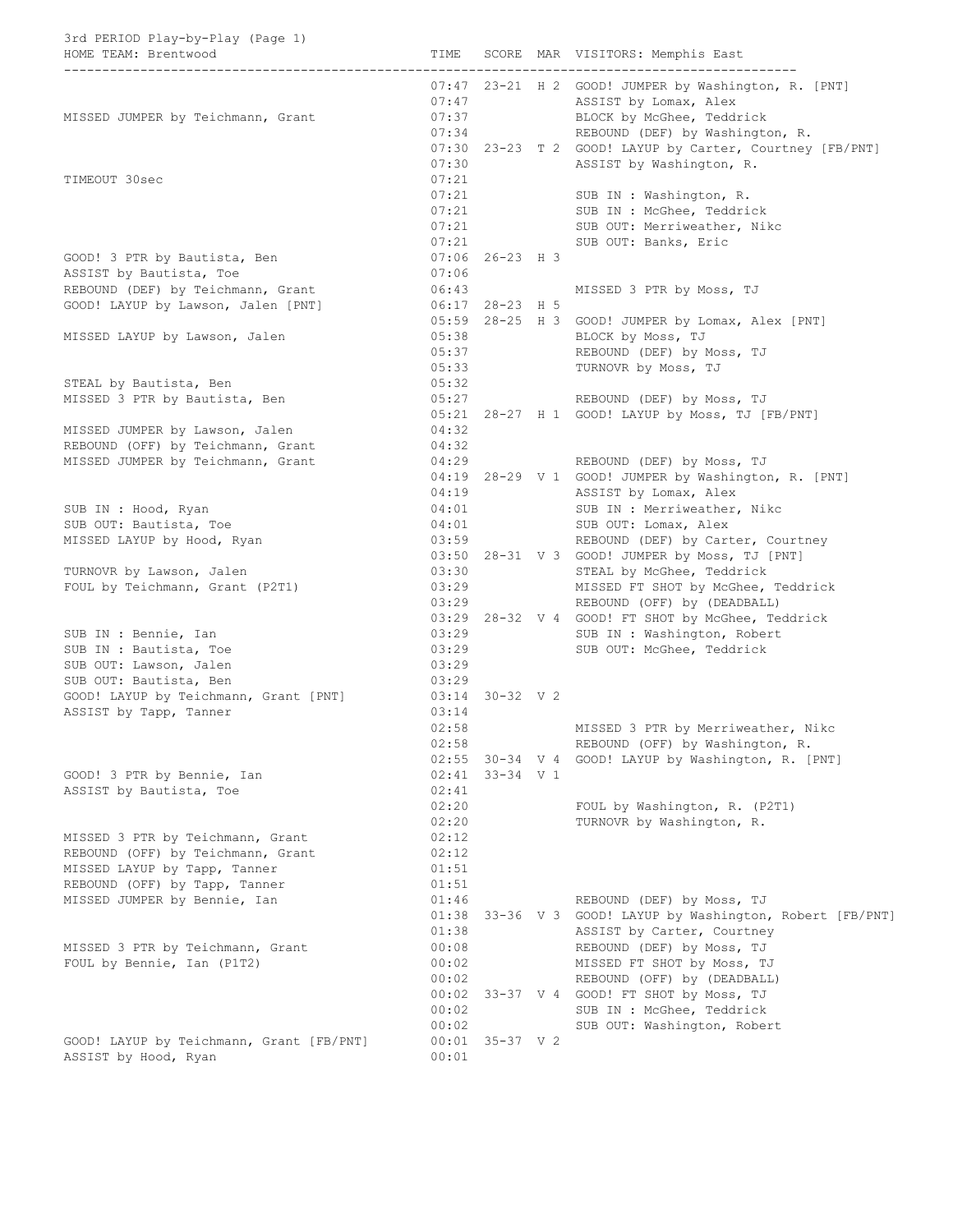### 3rd PERIOD Play-by-Play (Page 1)

| HOME TEAM: Brentwood                     | TIME  |                   | SCORE MAR VISITORS: Memphis East                         |
|------------------------------------------|-------|-------------------|----------------------------------------------------------|
|                                          |       |                   | 07:47 23-21 H 2 GOOD! JUMPER by Washington, R. [PNT]     |
|                                          | 07:47 |                   | ASSIST by Lomax, Alex                                    |
| MISSED JUMPER by Teichmann, Grant        | 07:37 |                   | BLOCK by McGhee, Teddrick                                |
|                                          | 07:34 |                   | REBOUND (DEF) by Washington, R.                          |
|                                          |       |                   | 07:30 23-23 T 2 GOOD! LAYUP by Carter, Courtney [FB/PNT] |
|                                          | 07:30 |                   | ASSIST by Washington, R.                                 |
| TIMEOUT 30sec                            | 07:21 |                   |                                                          |
|                                          | 07:21 |                   | SUB IN : Washington, R.                                  |
|                                          | 07:21 |                   | SUB IN : McGhee, Teddrick                                |
|                                          | 07:21 |                   | SUB OUT: Merriweather, Nikc                              |
|                                          | 07:21 |                   | SUB OUT: Banks, Eric                                     |
| GOOD! 3 PTR by Bautista, Ben             |       | $07:06$ 26-23 H 3 |                                                          |
| ASSIST by Bautista, Toe                  | 07:06 |                   |                                                          |
| REBOUND (DEF) by Teichmann, Grant        | 06:43 |                   | MISSED 3 PTR by Moss, TJ                                 |
| GOOD! LAYUP by Lawson, Jalen [PNT]       |       | 06:17 28-23 H 5   |                                                          |
|                                          |       |                   | 05:59 28-25 H 3 GOOD! JUMPER by Lomax, Alex [PNT]        |
| MISSED LAYUP by Lawson, Jalen            | 05:38 |                   | BLOCK by Moss, TJ                                        |
|                                          | 05:37 |                   | REBOUND (DEF) by Moss, TJ                                |
|                                          | 05:33 |                   | TURNOVR by Moss, TJ                                      |
| STEAL by Bautista, Ben                   | 05:32 |                   |                                                          |
| MISSED 3 PTR by Bautista, Ben            | 05:27 |                   | REBOUND (DEF) by Moss, TJ                                |
|                                          |       |                   | 05:21 28-27 H 1 GOOD! LAYUP by Moss, TJ [FB/PNT]         |
| MISSED JUMPER by Lawson, Jalen           | 04:32 |                   |                                                          |
| REBOUND (OFF) by Teichmann, Grant        | 04:32 |                   |                                                          |
| MISSED JUMPER by Teichmann, Grant        | 04:29 |                   | REBOUND (DEF) by Moss, TJ                                |
|                                          |       |                   | 04:19 28-29 V 1 GOOD! JUMPER by Washington, R. [PNT]     |
|                                          | 04:19 |                   | ASSIST by Lomax, Alex                                    |
| SUB IN : Hood, Ryan                      | 04:01 |                   | SUB IN : Merriweather, Nikc                              |
| SUB OUT: Bautista, Toe                   | 04:01 |                   | SUB OUT: Lomax, Alex                                     |
| MISSED LAYUP by Hood, Ryan               | 03:59 |                   | REBOUND (DEF) by Carter, Courtney                        |
|                                          |       |                   | 03:50 28-31 V 3 GOOD! JUMPER by Moss, TJ [PNT]           |
| TURNOVR by Lawson, Jalen                 | 03:30 |                   | STEAL by McGhee, Teddrick                                |
| FOUL by Teichmann, Grant (P2T1)          | 03:29 |                   | MISSED FT SHOT by McGhee, Teddrick                       |
|                                          | 03:29 |                   | REBOUND (OFF) by (DEADBALL)                              |
|                                          |       |                   | 03:29 28-32 V 4 GOOD! FT SHOT by McGhee, Teddrick        |
| SUB IN : Bennie, Ian                     | 03:29 |                   | SUB IN : Washington, Robert                              |
| SUB IN : Bautista, Toe                   | 03:29 |                   | SUB OUT: McGhee, Teddrick                                |
| SUB OUT: Lawson, Jalen                   | 03:29 |                   |                                                          |
| SUB OUT: Bautista, Ben                   | 03:29 |                   |                                                          |
| GOOD! LAYUP by Teichmann, Grant [PNT]    |       | 03:14 30-32 V 2   |                                                          |
| ASSIST by Tapp, Tanner                   | 03:14 |                   |                                                          |
|                                          | 02:58 |                   | MISSED 3 PTR by Merriweather, Nikc                       |
|                                          | 02:58 |                   | REBOUND (OFF) by Washington, R.                          |
|                                          |       |                   | 02:55 30-34 V 4 GOOD! LAYUP by Washington, R. [PNT]      |
| GOOD! 3 PTR by Bennie, Ian               |       | 02:41 33-34 V 1   |                                                          |
| ASSIST by Bautista, Toe                  | 02:41 |                   |                                                          |
|                                          | 02:20 |                   | FOUL by Washington, R. (P2T1)                            |
|                                          | 02:20 |                   | TURNOVR by Washington, R.                                |
| MISSED 3 PTR by Teichmann, Grant         | 02:12 |                   |                                                          |
| REBOUND (OFF) by Teichmann, Grant        | 02:12 |                   |                                                          |
| MISSED LAYUP by Tapp, Tanner             | 01:51 |                   |                                                          |
| REBOUND (OFF) by Tapp, Tanner            | 01:51 |                   |                                                          |
| MISSED JUMPER by Bennie, Ian             | 01:46 |                   | REBOUND (DEF) by Moss, TJ                                |
|                                          | 01:38 |                   | 33-36 V 3 GOOD! LAYUP by Washington, Robert [FB/PNT]     |
|                                          | 01:38 |                   | ASSIST by Carter, Courtney                               |
| MISSED 3 PTR by Teichmann, Grant         | 00:08 |                   | REBOUND (DEF) by Moss, TJ                                |
| FOUL by Bennie, Ian (P1T2)               | 00:02 |                   | MISSED FT SHOT by Moss, TJ                               |
|                                          | 00:02 |                   | REBOUND (OFF) by (DEADBALL)                              |
|                                          | 00:02 |                   | 33-37 V 4 GOOD! FT SHOT by Moss, TJ                      |
|                                          | 00:02 |                   | SUB IN : McGhee, Teddrick                                |
|                                          | 00:02 |                   | SUB OUT: Washington, Robert                              |
| GOOD! LAYUP by Teichmann, Grant [FB/PNT] |       | $00:01$ 35-37 V 2 |                                                          |

ASSIST by Hood, Ryan 00:01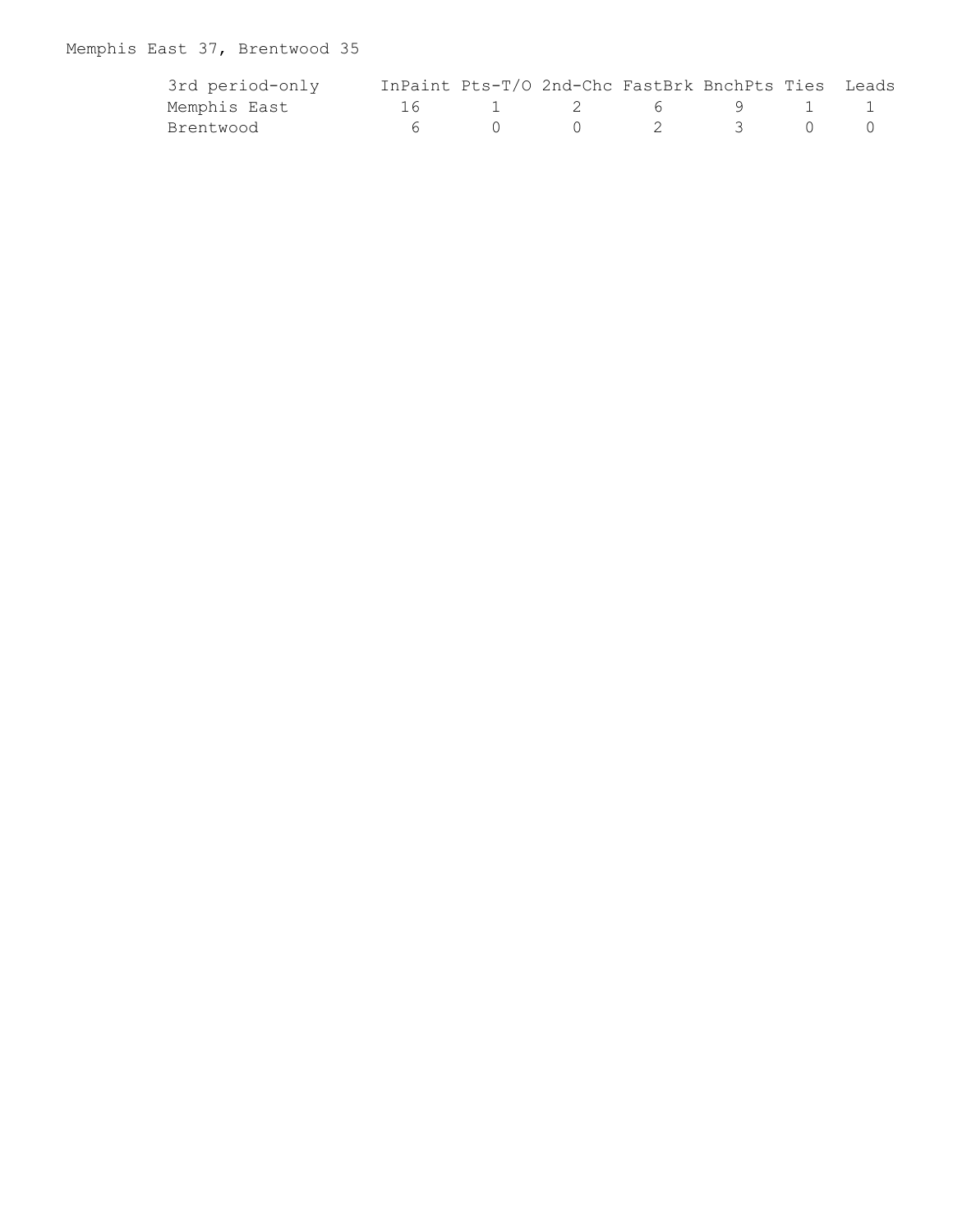# Memphis East 37, Brentwood 35

| 3rd period-only | InPaint Pts-T/O 2nd-Chc FastBrk BnchPts Ties Leads |          |                 |   |  |
|-----------------|----------------------------------------------------|----------|-----------------|---|--|
| Memphis East    |                                                    | $\sim$ 2 | $6\overline{)}$ | 9 |  |
| Brentwood       |                                                    |          |                 |   |  |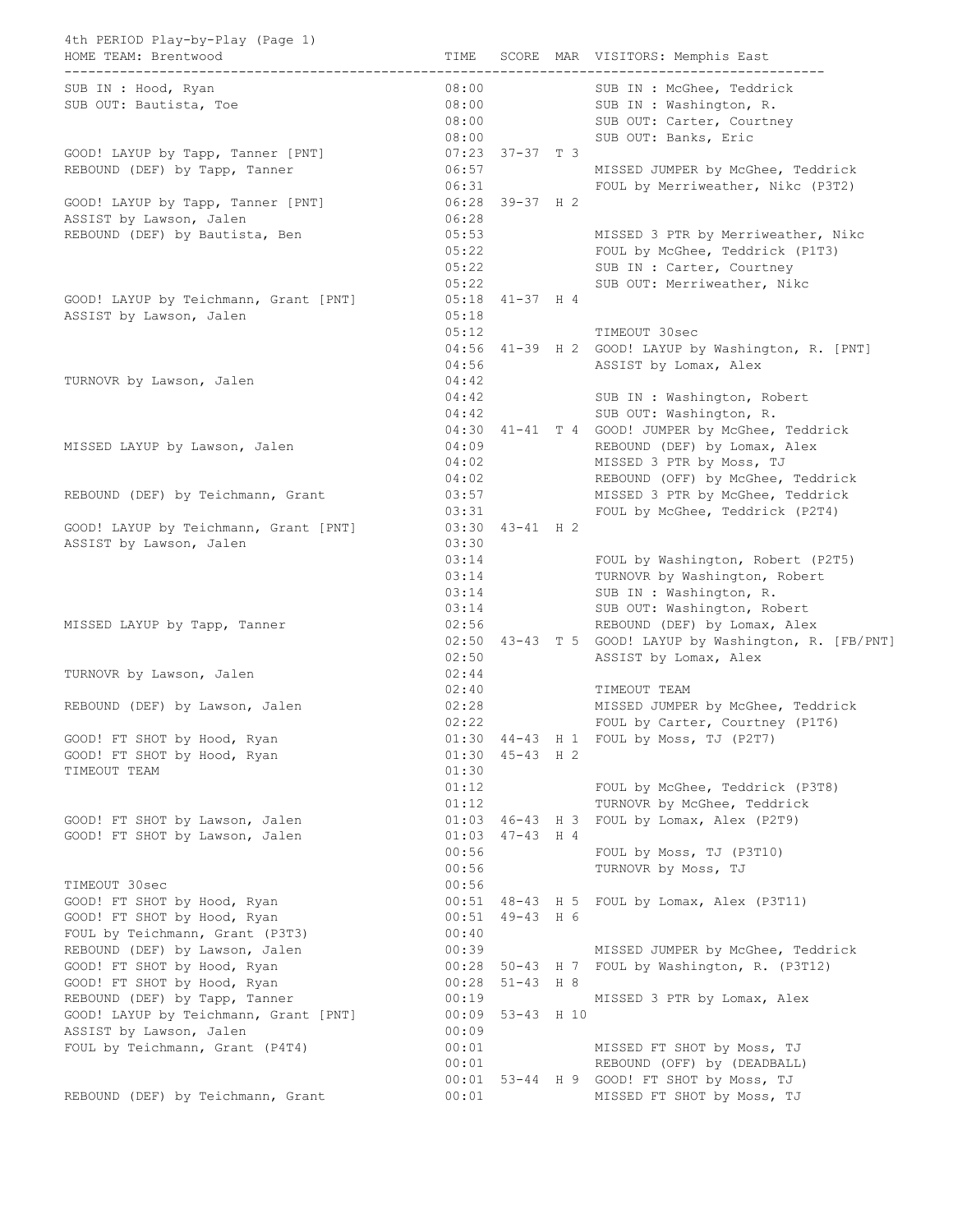| 4th PERIOD Play-by-Play (Page 1)<br>HOME TEAM: Brentwood<br>------------------ |                |                     | TIME SCORE MAR VISITORS: Memphis East<br>___________________________________ |
|--------------------------------------------------------------------------------|----------------|---------------------|------------------------------------------------------------------------------|
| SUB IN : Hood, Ryan                                                            | 08:00          |                     | SUB IN : McGhee, Teddrick                                                    |
| SUB OUT: Bautista, Toe                                                         | 08:00<br>08:00 |                     | SUB IN : Washington, R.<br>SUB OUT: Carter, Courtney                         |
|                                                                                |                | 08:00               | SUB OUT: Banks, Eric                                                         |
| GOOD! LAYUP by Tapp, Tanner [PNT]                                              |                | $07:23$ $37-37$ T 3 |                                                                              |
| REBOUND (DEF) by Tapp, Tanner                                                  | 06:57          |                     | MISSED JUMPER by McGhee, Teddrick                                            |
|                                                                                |                | 06:31               | FOUL by Merriweather, Nikc (P3T2)                                            |
| GOOD! LAYUP by Tapp, Tanner [PNT]                                              |                | $06:28$ 39-37 H 2   |                                                                              |
| ASSIST by Lawson, Jalen                                                        | 06:28          |                     |                                                                              |
| REBOUND (DEF) by Bautista, Ben                                                 | 05:53          |                     | MISSED 3 PTR by Merriweather, Nikc                                           |
|                                                                                |                | 05:22               | FOUL by McGhee, Teddrick (P1T3)                                              |
|                                                                                | 05:22          |                     | SUB IN : Carter, Courtney                                                    |
|                                                                                | 05:22          |                     | SUB OUT: Merriweather, Nikc                                                  |
| GOOD! LAYUP by Teichmann, Grant [PNT]                                          |                | $05:18$ 41-37 H 4   |                                                                              |
| ASSIST by Lawson, Jalen                                                        | 05:18          |                     |                                                                              |
|                                                                                | 05:12          |                     | TIMEOUT 30sec                                                                |
|                                                                                |                |                     | 04:56 41-39 H 2 GOOD! LAYUP by Washington, R. [PNT]                          |
|                                                                                | 04:56          |                     | ASSIST by Lomax, Alex                                                        |
| TURNOVR by Lawson, Jalen                                                       | 04:42          |                     |                                                                              |
|                                                                                | 04:42          |                     | SUB IN : Washington, Robert                                                  |
|                                                                                | 04:42          |                     | SUB OUT: Washington, R.                                                      |
|                                                                                |                |                     | 04:30 41-41 T 4 GOOD! JUMPER by McGhee, Teddrick                             |
| MISSED LAYUP by Lawson, Jalen                                                  | 04:09          |                     | REBOUND (DEF) by Lomax, Alex                                                 |
|                                                                                | 04:02          |                     | MISSED 3 PTR by Moss, TJ                                                     |
|                                                                                | 04:02          |                     | REBOUND (OFF) by McGhee, Teddrick                                            |
| REBOUND (DEF) by Teichmann, Grant                                              |                | 03:57               | MISSED 3 PTR by McGhee, Teddrick                                             |
|                                                                                | 03:31          |                     | FOUL by McGhee, Teddrick (P2T4)                                              |
| GOOD! LAYUP by Teichmann, Grant [PNT]                                          |                | $03:30$ 43-41 H 2   |                                                                              |
| ASSIST by Lawson, Jalen                                                        | 03:30          |                     |                                                                              |
|                                                                                | 03:14<br>03:14 |                     | FOUL by Washington, Robert (P2T5)                                            |
|                                                                                | 03:14          |                     | TURNOVR by Washington, Robert<br>SUB IN : Washington, R.                     |
|                                                                                | 03:14          |                     | SUB OUT: Washington, Robert                                                  |
| MISSED LAYUP by Tapp, Tanner                                                   | 02:56          |                     | REBOUND (DEF) by Lomax, Alex                                                 |
|                                                                                |                |                     | 02:50 43-43 T 5 GOOD! LAYUP by Washington, R. [FB/PNT]                       |
|                                                                                | 02:50          |                     | ASSIST by Lomax, Alex                                                        |
| TURNOVR by Lawson, Jalen                                                       | 02:44          |                     |                                                                              |
|                                                                                | 02:40          |                     | TIMEOUT TEAM                                                                 |
| REBOUND (DEF) by Lawson, Jalen                                                 | 02:28          |                     | MISSED JUMPER by McGhee, Teddrick                                            |
|                                                                                | 02:22          |                     | FOUL by Carter, Courtney (P1T6)                                              |
| GOOD! FT SHOT by Hood, Ryan                                                    |                |                     | 01:30 44-43 H 1 FOUL by Moss, TJ (P2T7)                                      |
| GOOD! FT SHOT by Hood, Ryan                                                    |                | $01:30$ 45-43 H 2   |                                                                              |
| TIMEOUT TEAM                                                                   | 01:30          |                     |                                                                              |
|                                                                                | 01:12          |                     | FOUL by McGhee, Teddrick (P3T8)                                              |
|                                                                                | 01:12          |                     | TURNOVR by McGhee, Teddrick                                                  |
| GOOD! FT SHOT by Lawson, Jalen                                                 |                | $01:03$ 46-43 H 3   | FOUL by Lomax, Alex (P2T9)                                                   |
| GOOD! FT SHOT by Lawson, Jalen                                                 | 01:03          | $47 - 43$ H 4       |                                                                              |
|                                                                                | 00:56          |                     | FOUL by Moss, TJ (P3T10)                                                     |
|                                                                                | 00:56          |                     | TURNOVR by Moss, TJ                                                          |
| TIMEOUT 30sec                                                                  | 00:56          |                     |                                                                              |
| GOOD! FT SHOT by Hood, Ryan                                                    |                |                     | 00:51 48-43 H 5 FOUL by Lomax, Alex (P3T11)                                  |
| GOOD! FT SHOT by Hood, Ryan                                                    |                | $00:51$ 49-43 H 6   |                                                                              |
| FOUL by Teichmann, Grant (P3T3)                                                | 00:40          |                     |                                                                              |
| REBOUND (DEF) by Lawson, Jalen                                                 | 00:39          |                     | MISSED JUMPER by McGhee, Teddrick                                            |
| GOOD! FT SHOT by Hood, Ryan                                                    |                |                     | 00:28 50-43 H 7 FOUL by Washington, R. (P3T12)                               |
| GOOD! FT SHOT by Hood, Ryan                                                    | 00:28          | $51 - 43$ H 8       |                                                                              |
| REBOUND (DEF) by Tapp, Tanner                                                  | 00:19          |                     | MISSED 3 PTR by Lomax, Alex                                                  |
| GOOD! LAYUP by Teichmann, Grant [PNT]                                          |                | $00:09$ 53-43 H 10  |                                                                              |
| ASSIST by Lawson, Jalen                                                        | 00:09<br>00:01 |                     |                                                                              |
| FOUL by Teichmann, Grant (P4T4)                                                | 00:01          |                     | MISSED FT SHOT by Moss, TJ<br>REBOUND (OFF) by (DEADBALL)                    |
|                                                                                |                |                     | 00:01 53-44 H 9 GOOD! FT SHOT by Moss, TJ                                    |
| REBOUND (DEF) by Teichmann, Grant                                              | 00:01          |                     | MISSED FT SHOT by Moss, TJ                                                   |
|                                                                                |                |                     |                                                                              |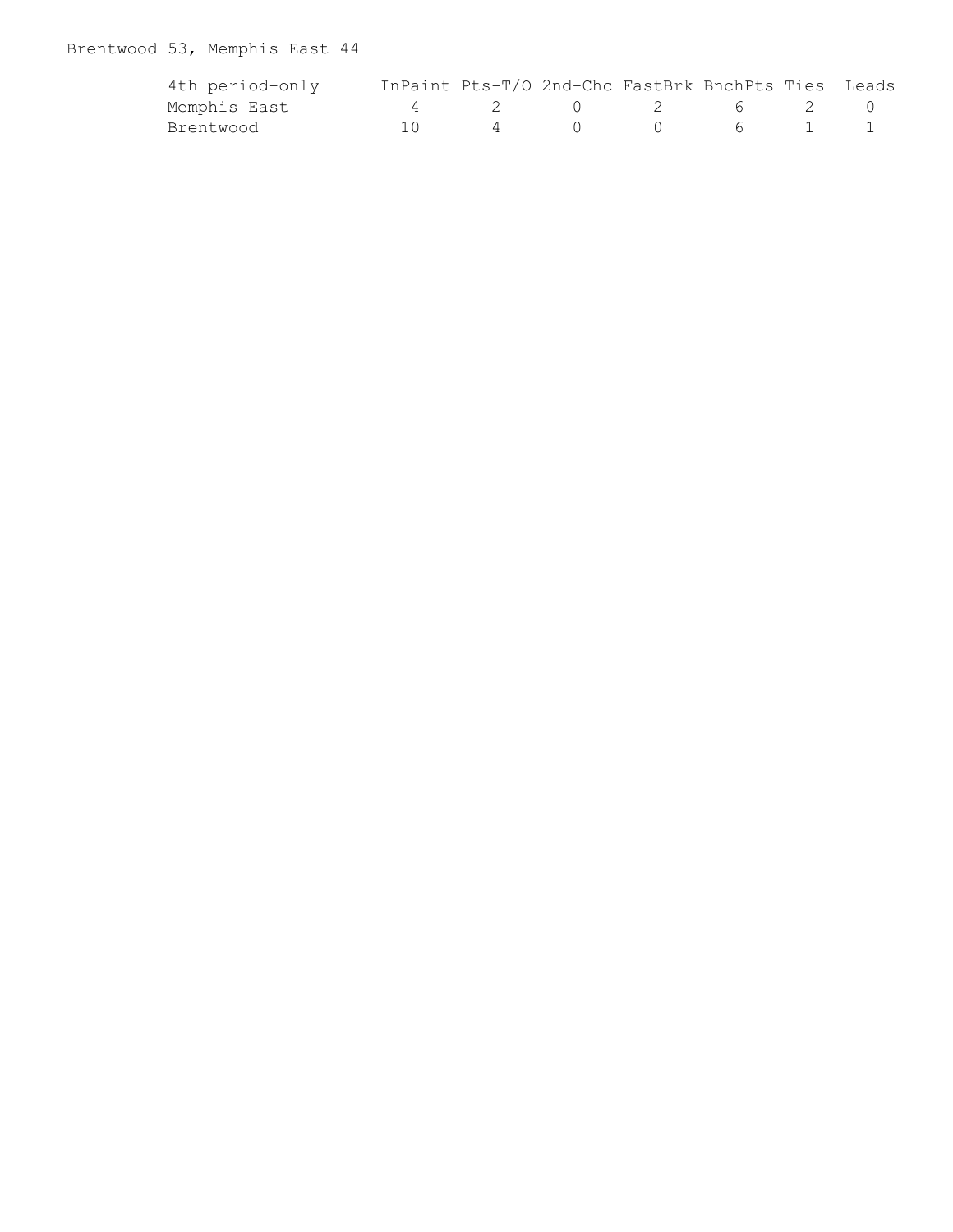# Brentwood 53, Memphis East 44

| 4th period-only | InPaint Pts-T/O 2nd-Chc FastBrk BnchPts Ties Leads |                   |                                                     |         |  |
|-----------------|----------------------------------------------------|-------------------|-----------------------------------------------------|---------|--|
| Memphis East    |                                                    |                   |                                                     | 2 6 2 0 |  |
| Brentwood       |                                                    | $\overline{4}$ () | $\begin{array}{ccc} & & & & \mathbf{6} \end{array}$ |         |  |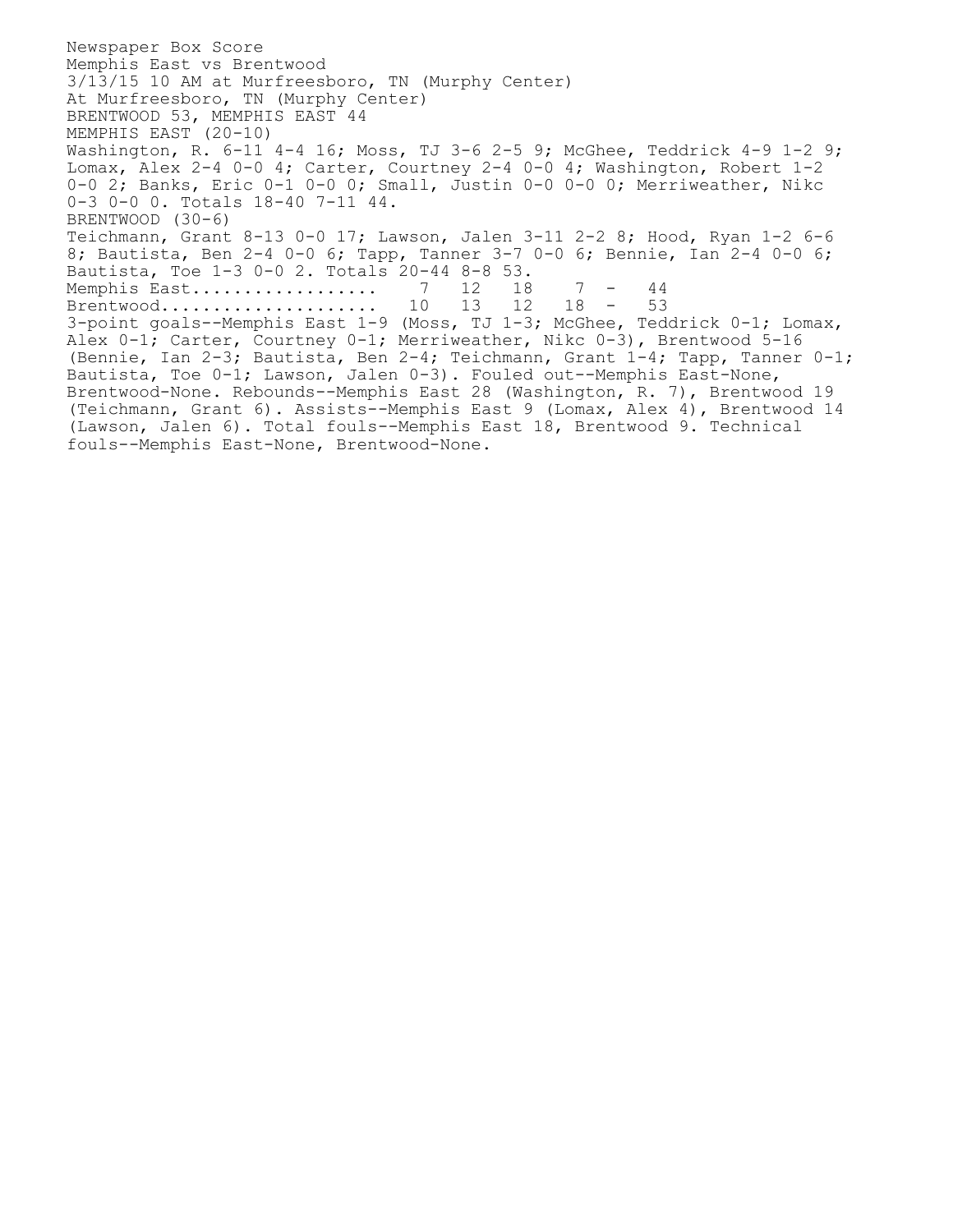Newspaper Box Score Memphis East vs Brentwood 3/13/15 10 AM at Murfreesboro, TN (Murphy Center) At Murfreesboro, TN (Murphy Center) BRENTWOOD 53, MEMPHIS EAST 44 MEMPHIS EAST (20-10) Washington, R. 6-11 4-4 16; Moss, TJ 3-6 2-5 9; McGhee, Teddrick 4-9 1-2 9; Lomax, Alex 2-4 0-0 4; Carter, Courtney 2-4 0-0 4; Washington, Robert  $1-2$ 0-0 2; Banks, Eric 0-1 0-0 0; Small, Justin 0-0 0-0 0; Merriweather, Nikc 0-3 0-0 0. Totals 18-40 7-11 44. BRENTWOOD (30-6) Teichmann, Grant 8-13 0-0 17; Lawson, Jalen 3-11 2-2 8; Hood, Ryan 1-2 6-6 8; Bautista, Ben 2-4 0-0 6; Tapp, Tanner 3-7 0-0 6; Bennie, Ian 2-4 0-0 6; Bautista, Toe 1-3 0-0 2. Totals 20-44 8-8 53. Memphis East.................. 7 12 18 7 - 44 Brentwood.............................. 10 13 12 18 - 53 3-point goals--Memphis East 1-9 (Moss, TJ 1-3; McGhee, Teddrick 0-1; Lomax, Alex 0-1; Carter, Courtney 0-1; Merriweather, Nikc 0-3), Brentwood 5-16 (Bennie, Ian 2-3; Bautista, Ben 2-4; Teichmann, Grant 1-4; Tapp, Tanner 0-1; Bautista, Toe 0-1; Lawson, Jalen 0-3). Fouled out--Memphis East-None, Brentwood-None. Rebounds--Memphis East 28 (Washington, R. 7), Brentwood 19 (Teichmann, Grant 6). Assists--Memphis East 9 (Lomax, Alex 4), Brentwood 14 (Lawson, Jalen 6). Total fouls--Memphis East 18, Brentwood 9. Technical fouls--Memphis East-None, Brentwood-None.